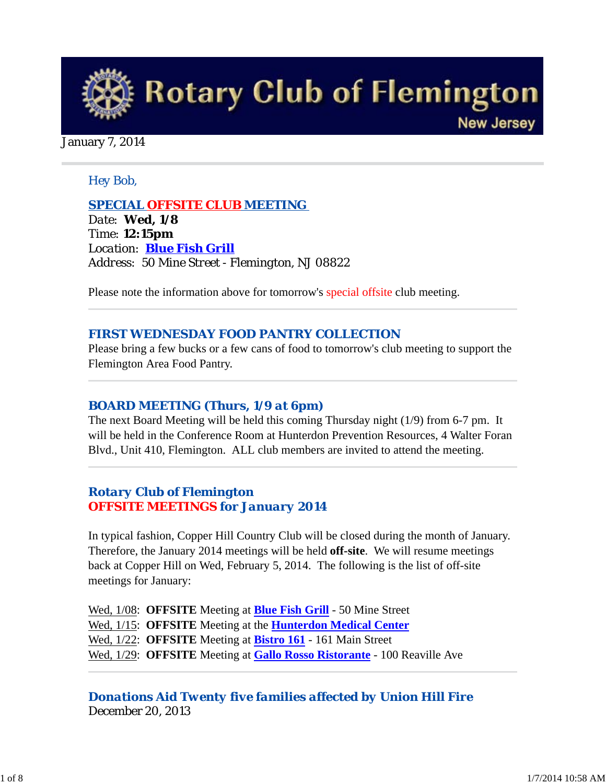

#### January 7, 2014

#### *Hey Bob,*

*SPECIAL OFFSITE CLUB MEETING Date: Wed, 1/8 Time: 12:15pm Location: Blue Fish Grill Address: 50 Mine Street - Flemington, NJ 08822* 

Please note the information above for tomorrow's special offsite club meeting.

#### *FIRST WEDNESDAY FOOD PANTRY COLLECTION*

Please bring a few bucks or a few cans of food to tomorrow's club meeting to support the Flemington Area Food Pantry.

#### *BOARD MEETING (Thurs, 1/9 at 6pm)*

The next Board Meeting will be held this coming Thursday night (1/9) from 6-7 pm. It will be held in the Conference Room at Hunterdon Prevention Resources, 4 Walter Foran Blvd., Unit 410, Flemington. ALL club members are invited to attend the meeting.

#### *Rotary Club of Flemington OFFSITE MEETINGS for January 2014*

In typical fashion, Copper Hill Country Club will be closed during the month of January. Therefore, the January 2014 meetings will be held **off-site**. We will resume meetings back at Copper Hill on Wed, February 5, 2014. The following is the list of off-site meetings for January:

Wed, 1/08: **OFFSITE** Meeting at **Blue Fish Grill** - 50 Mine Street Wed, 1/15: **OFFSITE** Meeting at the **Hunterdon Medical Center** Wed, 1/22: **OFFSITE** Meeting at **Bistro 161** - 161 Main Street Wed, 1/29: **OFFSITE** Meeting at **Gallo Rosso Ristorante** - 100 Reaville Ave

*Donations Aid Twenty five families affected by Union Hill Fire* December 20, 2013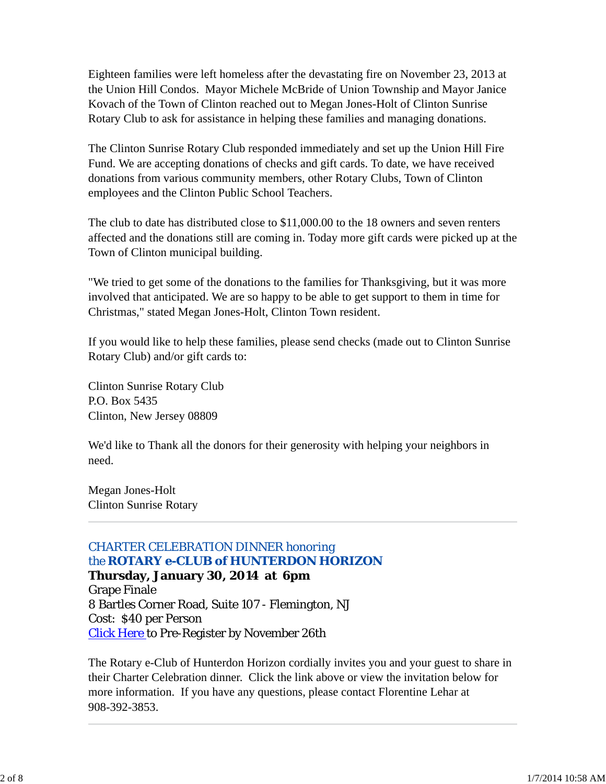Eighteen families were left homeless after the devastating fire on November 23, 2013 at the Union Hill Condos. Mayor Michele McBride of Union Township and Mayor Janice Kovach of the Town of Clinton reached out to Megan Jones-Holt of Clinton Sunrise Rotary Club to ask for assistance in helping these families and managing donations.

The Clinton Sunrise Rotary Club responded immediately and set up the Union Hill Fire Fund. We are accepting donations of checks and gift cards. To date, we have received donations from various community members, other Rotary Clubs, Town of Clinton employees and the Clinton Public School Teachers.

The club to date has distributed close to \$11,000.00 to the 18 owners and seven renters affected and the donations still are coming in. Today more gift cards were picked up at the Town of Clinton municipal building.

"We tried to get some of the donations to the families for Thanksgiving, but it was more involved that anticipated. We are so happy to be able to get support to them in time for Christmas," stated Megan Jones-Holt, Clinton Town resident.

If you would like to help these families, please send checks (made out to Clinton Sunrise Rotary Club) and/or gift cards to:

Clinton Sunrise Rotary Club P.O. Box 5435 Clinton, New Jersey 08809

We'd like to Thank all the donors for their generosity with helping your neighbors in need.

Megan Jones-Holt Clinton Sunrise Rotary

## *CHARTER CELEBRATION DINNER honoring the ROTARY e-CLUB of HUNTERDON HORIZON*

**Thursday, January 30, 2014 at 6pm** Grape Finale 8 Bartles Corner Road, Suite 107 - Flemington, NJ Cost: \$40 per Person Click Here to Pre-Register by November 26th

The Rotary e-Club of Hunterdon Horizon cordially invites you and your guest to share in their Charter Celebration dinner. Click the link above or view the invitation below for more information. If you have any questions, please contact Florentine Lehar at 908-392-3853.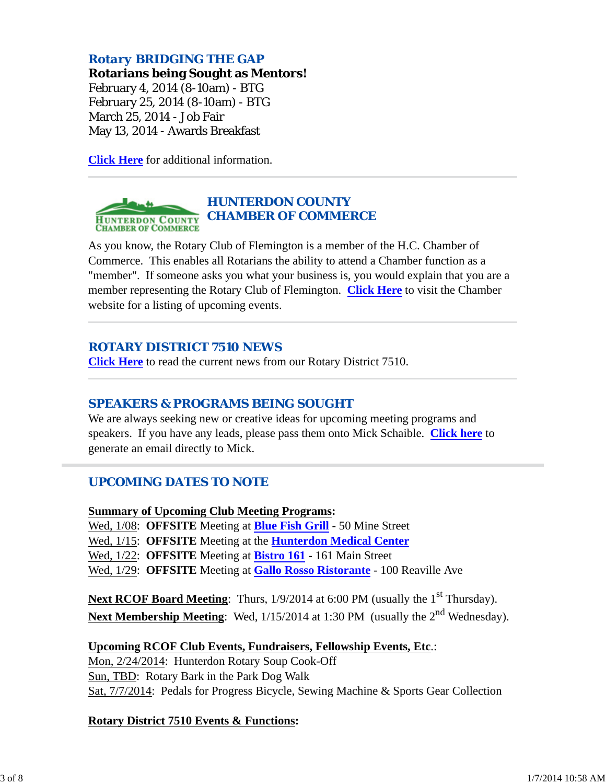## *Rotary BRIDGING THE GAP*

**Rotarians being Sought as Mentors!**

February 4, 2014 (8-10am) - BTG February 25, 2014 (8-10am) - BTG March 25, 2014 - Job Fair May 13, 2014 - Awards Breakfast

**Click Here** for additional information.

#### *HUNTERDON COUNTY* **HUNTERDON COUNTY CHAMBER OF COMMERCE CHAMBER OF COMMERCE**

As you know, the Rotary Club of Flemington is a member of the H.C. Chamber of Commerce. This enables all Rotarians the ability to attend a Chamber function as a "member". If someone asks you what your business is, you would explain that you are a member representing the Rotary Club of Flemington. **Click Here** to visit the Chamber website for a listing of upcoming events.

## *ROTARY DISTRICT 7510 NEWS*

**Click Here** to read the current news from our Rotary District 7510.

#### *SPEAKERS & PROGRAMS BEING SOUGHT*

We are always seeking new or creative ideas for upcoming meeting programs and speakers. If you have any leads, please pass them onto Mick Schaible. **Click here** to generate an email directly to Mick.

#### *UPCOMING DATES TO NOTE*

**Summary of Upcoming Club Meeting Programs:**

Wed, 1/08: **OFFSITE** Meeting at **Blue Fish Grill** - 50 Mine Street

Wed, 1/15: **OFFSITE** Meeting at the **Hunterdon Medical Center**

Wed, 1/22: **OFFSITE** Meeting at **Bistro 161** - 161 Main Street

Wed, 1/29: **OFFSITE** Meeting at **Gallo Rosso Ristorante** - 100 Reaville Ave

**Next RCOF Board Meeting:** Thurs,  $1/9/2014$  at 6:00 PM (usually the 1<sup>st</sup> Thursday). Next Membership Meeting: Wed, 1/15/2014 at 1:30 PM (usually the 2<sup>nd</sup> Wednesday).

#### **Upcoming RCOF Club Events, Fundraisers, Fellowship Events, Etc**.:

Mon, 2/24/2014: Hunterdon Rotary Soup Cook-Off Sun, TBD: Rotary Bark in the Park Dog Walk Sat, 7/7/2014: Pedals for Progress Bicycle, Sewing Machine & Sports Gear Collection

#### **Rotary District 7510 Events & Functions:**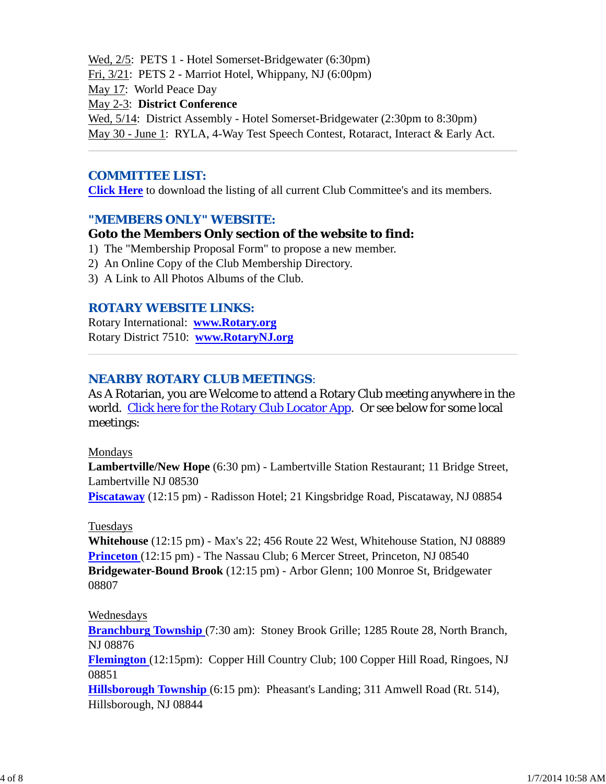Wed, 2/5: PETS 1 - Hotel Somerset-Bridgewater (6:30pm) Fri, 3/21: PETS 2 - Marriot Hotel, Whippany, NJ (6:00pm) May 17: World Peace Day May 2-3: **District Conference** Wed, 5/14: District Assembly - Hotel Somerset-Bridgewater (2:30pm to 8:30pm) May 30 - June 1: RYLA, 4-Way Test Speech Contest, Rotaract, Interact & Early Act.

### *COMMITTEE LIST:*

**Click Here** to download the listing of all current Club Committee's and its members.

#### *"MEMBERS ONLY" WEBSITE:*

#### **Goto the Members Only section of the website to find:**

- 1) The "Membership Proposal Form" to propose a new member.
- 2) An Online Copy of the Club Membership Directory.
- 3) A Link to All Photos Albums of the Club.

#### *ROTARY WEBSITE LINKS:*

Rotary International: **www.Rotary.org** Rotary District 7510: **www.RotaryNJ.org**

#### *NEARBY ROTARY CLUB MEETINGS:*

As A Rotarian, you are Welcome to attend a Rotary Club meeting anywhere in the world. Click here for the Rotary Club Locator App. Or see below for some local meetings:

#### Mondays

**Lambertville/New Hope** (6:30 pm) - Lambertville Station Restaurant; 11 Bridge Street, Lambertville NJ 08530 **Piscataway** (12:15 pm) - Radisson Hotel; 21 Kingsbridge Road, Piscataway, NJ 08854

#### Tuesdays

**Whitehouse** (12:15 pm) - Max's 22; 456 Route 22 West, Whitehouse Station, NJ 08889 **Princeton** (12:15 pm) - The Nassau Club; 6 Mercer Street, Princeton, NJ 08540 **Bridgewater-Bound Brook** (12:15 pm) - Arbor Glenn; 100 Monroe St, Bridgewater 08807

#### Wednesdays

**Branchburg Township** (7:30 am): Stoney Brook Grille; 1285 Route 28, North Branch, NJ 08876

**Flemington** (12:15pm): Copper Hill Country Club; 100 Copper Hill Road, Ringoes, NJ 08851

**Hillsborough Township** (6:15 pm): Pheasant's Landing; 311 Amwell Road (Rt. 514), Hillsborough, NJ 08844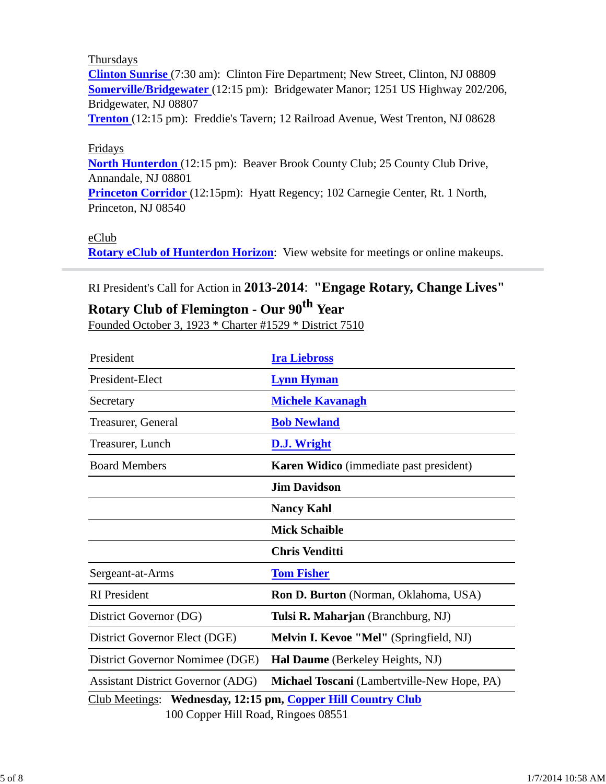#### Thursdays

**Clinton Sunrise** (7:30 am): Clinton Fire Department; New Street, Clinton, NJ 08809 **Somerville/Bridgewater** (12:15 pm): Bridgewater Manor; 1251 US Highway 202/206, Bridgewater, NJ 08807

**Trenton** (12:15 pm): Freddie's Tavern; 12 Railroad Avenue, West Trenton, NJ 08628

#### Fridays

**North Hunterdon** (12:15 pm): Beaver Brook County Club; 25 County Club Drive, Annandale, NJ 08801

**Princeton Corridor** (12:15pm): Hyatt Regency; 102 Carnegie Center, Rt. 1 North, Princeton, NJ 08540

#### eClub

**Rotary eClub of Hunterdon Horizon**: View website for meetings or online makeups.

## RI President's Call for Action in **2013-2014**: **"Engage Rotary, Change Lives"**

# **Rotary Club of Flemington - Our 90th Year**

Founded October 3, 1923 \* Charter #1529 \* District 7510

| President                                                                                                              | <b>Ira Liebross</b>                            |  |  |  |
|------------------------------------------------------------------------------------------------------------------------|------------------------------------------------|--|--|--|
| President-Elect                                                                                                        | <b>Lynn Hyman</b>                              |  |  |  |
| Secretary                                                                                                              | <b>Michele Kavanagh</b>                        |  |  |  |
| Treasurer, General                                                                                                     | <b>Bob Newland</b>                             |  |  |  |
| Treasurer, Lunch                                                                                                       | <b>D.J. Wright</b>                             |  |  |  |
| <b>Board Members</b>                                                                                                   | <b>Karen Widico</b> (immediate past president) |  |  |  |
|                                                                                                                        | <b>Jim Davidson</b>                            |  |  |  |
|                                                                                                                        | <b>Nancy Kahl</b>                              |  |  |  |
|                                                                                                                        | <b>Mick Schaible</b>                           |  |  |  |
|                                                                                                                        | <b>Chris Venditti</b>                          |  |  |  |
| Sergeant-at-Arms                                                                                                       | <b>Tom Fisher</b>                              |  |  |  |
| <b>RI</b> President                                                                                                    | Ron D. Burton (Norman, Oklahoma, USA)          |  |  |  |
| District Governor (DG)                                                                                                 | Tulsi R. Maharjan (Branchburg, NJ)             |  |  |  |
| District Governor Elect (DGE)                                                                                          | Melvin I. Kevoe "Mel" (Springfield, NJ)        |  |  |  |
| District Governor Nomimee (DGE)                                                                                        | Hal Daume (Berkeley Heights, NJ)               |  |  |  |
| <b>Assistant District Governor (ADG)</b>                                                                               | Michael Toscani (Lambertville-New Hope, PA)    |  |  |  |
| Club Meetings: Wednesday, 12:15 pm, Copper Hill Country Club<br>$100 \text{ C}$ can $\mu$ II:11 Deed. Din ages $00551$ |                                                |  |  |  |

100 Copper Hill Road, Ringoes 08551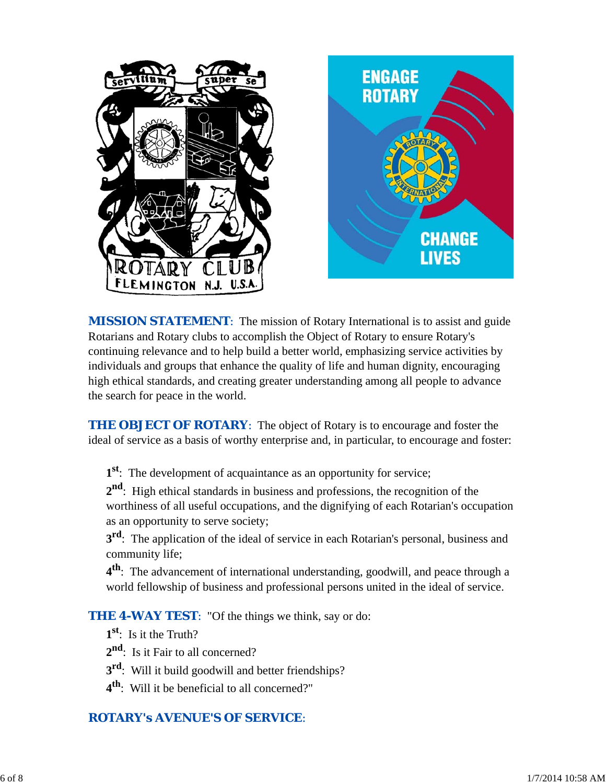

*MISSION STATEMENT*: The mission of Rotary International is to assist and guide Rotarians and Rotary clubs to accomplish the Object of Rotary to ensure Rotary's continuing relevance and to help build a better world, emphasizing service activities by individuals and groups that enhance the quality of life and human dignity, encouraging high ethical standards, and creating greater understanding among all people to advance the search for peace in the world.

**THE OBJECT OF ROTARY:** The object of Rotary is to encourage and foster the ideal of service as a basis of worthy enterprise and, in particular, to encourage and foster:

**1st**: The development of acquaintance as an opportunity for service;

**2nd**: High ethical standards in business and professions, the recognition of the worthiness of all useful occupations, and the dignifying of each Rotarian's occupation as an opportunity to serve society;

**3<sup>rd</sup>**: The application of the ideal of service in each Rotarian's personal, business and community life;

**4th**: The advancement of international understanding, goodwill, and peace through a world fellowship of business and professional persons united in the ideal of service.

**THE 4-WAY TEST:** "Of the things we think, say or do:

- **1st**: Is it the Truth?
- 2<sup>nd</sup>: Is it Fair to all concerned?
- **3rd**: Will it build goodwill and better friendships?
- **4th**: Will it be beneficial to all concerned?"

# *ROTARY's AVENUE'S OF SERVICE*: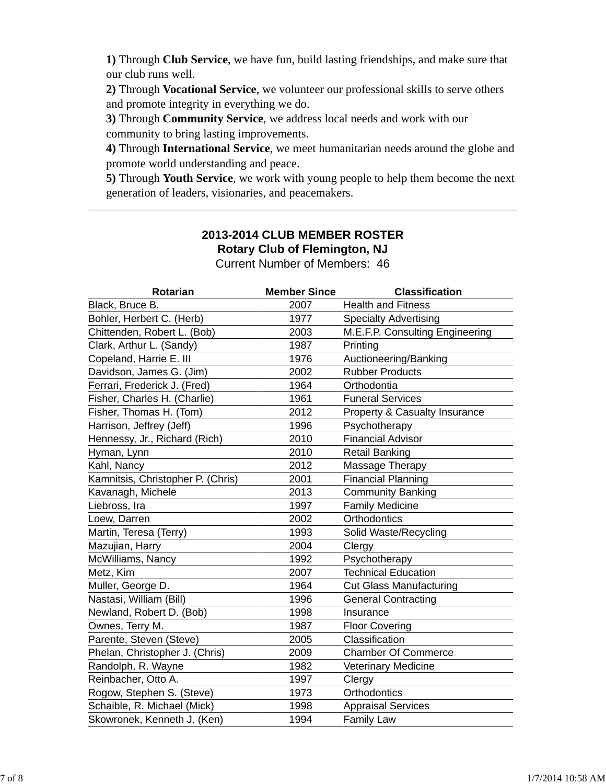**1)** Through **Club Service**, we have fun, build lasting friendships, and make sure that our club runs well.

**2)** Through **Vocational Service**, we volunteer our professional skills to serve others and promote integrity in everything we do.

**3)** Through **Community Service**, we address local needs and work with our community to bring lasting improvements.

**4)** Through **International Service**, we meet humanitarian needs around the globe and promote world understanding and peace.

**5)** Through **Youth Service**, we work with young people to help them become the next generation of leaders, visionaries, and peacemakers.

# **2013-2014 CLUB MEMBER ROSTER Rotary Club of Flemington, NJ**

Current Number of Members: 46

| <b>Rotarian</b>                   | <b>Member Since</b> | <b>Classification</b>                    |
|-----------------------------------|---------------------|------------------------------------------|
| Black, Bruce B.                   | 2007                | <b>Health and Fitness</b>                |
| Bohler, Herbert C. (Herb)         | 1977                | <b>Specialty Advertising</b>             |
| Chittenden, Robert L. (Bob)       | 2003                | M.E.F.P. Consulting Engineering          |
| Clark, Arthur L. (Sandy)          | 1987                | Printing                                 |
| Copeland, Harrie E. III           | 1976                | Auctioneering/Banking                    |
| Davidson, James G. (Jim)          | 2002                | <b>Rubber Products</b>                   |
| Ferrari, Frederick J. (Fred)      | 1964                | Orthodontia                              |
| Fisher, Charles H. (Charlie)      | 1961                | <b>Funeral Services</b>                  |
| Fisher, Thomas H. (Tom)           | 2012                | <b>Property &amp; Casualty Insurance</b> |
| Harrison, Jeffrey (Jeff)          | 1996                | Psychotherapy                            |
| Hennessy, Jr., Richard (Rich)     | 2010                | <b>Financial Advisor</b>                 |
| Hyman, Lynn                       | 2010                | <b>Retail Banking</b>                    |
| Kahl, Nancy                       | 2012                | Massage Therapy                          |
| Kamnitsis, Christopher P. (Chris) | 2001                | <b>Financial Planning</b>                |
| Kavanagh, Michele                 | 2013                | <b>Community Banking</b>                 |
| Liebross, Ira                     | 1997                | <b>Family Medicine</b>                   |
| Loew, Darren                      | 2002                | Orthodontics                             |
| Martin, Teresa (Terry)            | 1993                | Solid Waste/Recycling                    |
| Mazujian, Harry                   | 2004                | Clergy                                   |
| McWilliams, Nancy                 | 1992                | Psychotherapy                            |
| Metz, Kim                         | 2007                | <b>Technical Education</b>               |
| Muller, George D.                 | 1964                | <b>Cut Glass Manufacturing</b>           |
| Nastasi, William (Bill)           | 1996                | <b>General Contracting</b>               |
| Newland, Robert D. (Bob)          | 1998                | Insurance                                |
| Ownes, Terry M.                   | 1987                | <b>Floor Covering</b>                    |
| Parente, Steven (Steve)           | 2005                | Classification                           |
| Phelan, Christopher J. (Chris)    | 2009                | <b>Chamber Of Commerce</b>               |
| Randolph, R. Wayne                | 1982                | Veterinary Medicine                      |
| Reinbacher, Otto A.               | 1997                | Clergy                                   |
| Rogow, Stephen S. (Steve)         | 1973                | Orthodontics                             |
| Schaible, R. Michael (Mick)       | 1998                | <b>Appraisal Services</b>                |
| Skowronek, Kenneth J. (Ken)       | 1994                | <b>Family Law</b>                        |